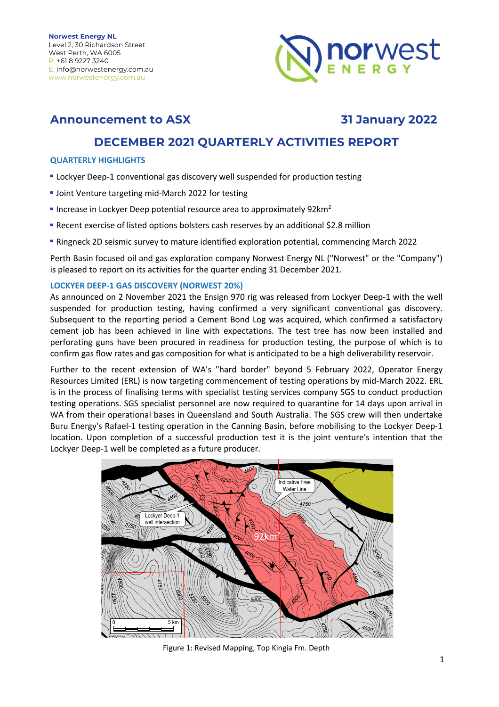

### **Announcement to ASX 31 January 2022**

### **DECEMBER 2021 QUARTERLY ACTIVITIES REPORT**

#### **QUARTERLY HIGHLIGHTS**

- **Lockyer Deep-1 conventional gas discovery well suspended for production testing**
- **Joint Venture targeting mid-March 2022 for testing**
- Increase in Lockyer Deep potential resource area to approximately 92km<sup>2</sup>
- **Recent exercise of listed options bolsters cash reserves by an additional \$2.8 million**
- **Ringneck 2D seismic survey to mature identified exploration potential, commencing March 2022**

Perth Basin focused oil and gas exploration company Norwest Energy NL ("Norwest" or the "Company") is pleased to report on its activities for the quarter ending 31 December 2021.

#### **LOCKYER DEEP-1 GAS DISCOVERY (NORWEST 20%)**

As announced on 2 November 2021 the Ensign 970 rig was released from Lockyer Deep-1 with the well suspended for production testing, having confirmed a very significant conventional gas discovery. Subsequent to the reporting period a Cement Bond Log was acquired, which confirmed a satisfactory cement job has been achieved in line with expectations. The test tree has now been installed and perforating guns have been procured in readiness for production testing, the purpose of which is to confirm gas flow rates and gas composition for what is anticipated to be a high deliverability reservoir.

Further to the recent extension of WA's "hard border" beyond 5 February 2022, Operator Energy Resources Limited (ERL) is now targeting commencement of testing operations by mid-March 2022. ERL is in the process of finalising terms with specialist testing services company SGS to conduct production testing operations. SGS specialist personnel are now required to quarantine for 14 days upon arrival in WA from their operational bases in Queensland and South Australia. The SGS crew will then undertake Buru Energy's Rafael-1 testing operation in the Canning Basin, before mobilising to the Lockyer Deep-1 location. Upon completion of a successful production test it is the joint venture's intention that the Lockyer Deep-1 well be completed as a future producer.



Figure 1: Revised Mapping, Top Kingia Fm. Depth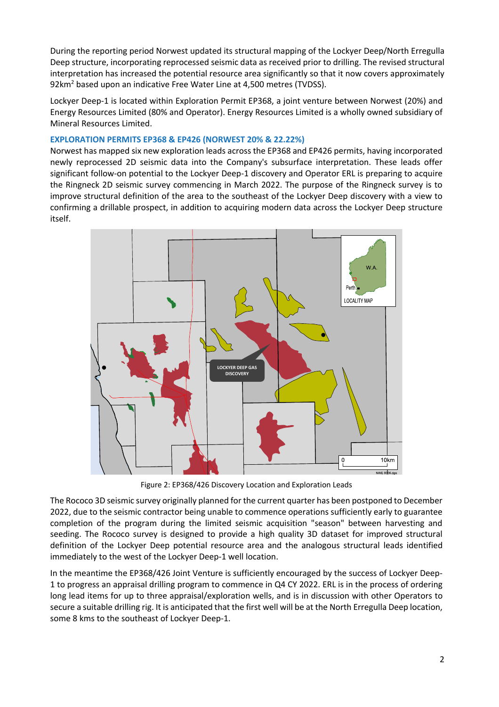During the reporting period Norwest updated its structural mapping of the Lockyer Deep/North Erregulla Deep structure, incorporating reprocessed seismic data as received prior to drilling. The revised structural interpretation has increased the potential resource area significantly so that it now covers approximately 92km<sup>2</sup> based upon an indicative Free Water Line at 4,500 metres (TVDSS).

Lockyer Deep-1 is located within Exploration Permit EP368, a joint venture between Norwest (20%) and Energy Resources Limited (80% and Operator). Energy Resources Limited is a wholly owned subsidiary of Mineral Resources Limited.

#### **EXPLORATION PERMITS EP368 & EP426 (NORWEST 20% & 22.22%)**

Norwest has mapped six new exploration leads across the EP368 and EP426 permits, having incorporated newly reprocessed 2D seismic data into the Company's subsurface interpretation. These leads offer significant follow-on potential to the Lockyer Deep-1 discovery and Operator ERL is preparing to acquire the Ringneck 2D seismic survey commencing in March 2022. The purpose of the Ringneck survey is to improve structural definition of the area to the southeast of the Lockyer Deep discovery with a view to confirming a drillable prospect, in addition to acquiring modern data across the Lockyer Deep structure itself.



Figure 2: EP368/426 Discovery Location and Exploration Leads

The Rococo 3D seismic survey originally planned for the current quarter has been postponed to December 2022, due to the seismic contractor being unable to commence operations sufficiently early to guarantee completion of the program during the limited seismic acquisition "season" between harvesting and seeding. The Rococo survey is designed to provide a high quality 3D dataset for improved structural definition of the Lockyer Deep potential resource area and the analogous structural leads identified immediately to the west of the Lockyer Deep-1 well location.

In the meantime the EP368/426 Joint Venture is sufficiently encouraged by the success of Lockyer Deep-1 to progress an appraisal drilling program to commence in Q4 CY 2022. ERL is in the process of ordering long lead items for up to three appraisal/exploration wells, and is in discussion with other Operators to secure a suitable drilling rig. It is anticipated that the first well will be at the North Erregulla Deep location, some 8 kms to the southeast of Lockyer Deep-1.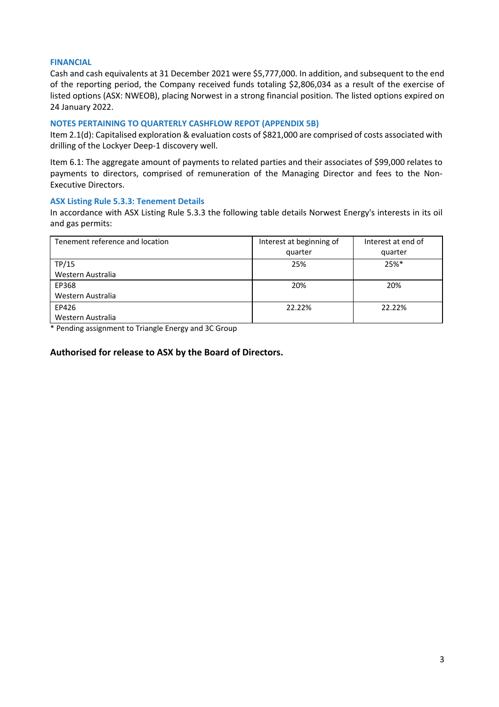#### **FINANCIAL**

Cash and cash equivalents at 31 December 2021 were \$5,777,000. In addition, and subsequent to the end of the reporting period, the Company received funds totaling \$2,806,034 as a result of the exercise of listed options (ASX: NWEOB), placing Norwest in a strong financial position. The listed options expired on 24 January 2022.

#### **NOTES PERTAINING TO QUARTERLY CASHFLOW REPOT (APPENDIX 5B)**

Item 2.1(d): Capitalised exploration & evaluation costs of \$821,000 are comprised of costs associated with drilling of the Lockyer Deep-1 discovery well.

Item 6.1: The aggregate amount of payments to related parties and their associates of \$99,000 relates to payments to directors, comprised of remuneration of the Managing Director and fees to the Non-Executive Directors.

#### **ASX Listing Rule 5.3.3: Tenement Details**

In accordance with ASX Listing Rule 5.3.3 the following table details Norwest Energy's interests in its oil and gas permits:

| Tenement reference and location | Interest at beginning of<br>quarter | Interest at end of<br>quarter |
|---------------------------------|-------------------------------------|-------------------------------|
| TP/15                           | 25%                                 | $25%$ *                       |
| Western Australia               |                                     |                               |
| EP368                           | 20%                                 | 20%                           |
| Western Australia               |                                     |                               |
| EP426                           | 22.22%                              | 22.22%                        |
| Western Australia               |                                     |                               |

\* Pending assignment to Triangle Energy and 3C Group

#### **Authorised for release to ASX by the Board of Directors.**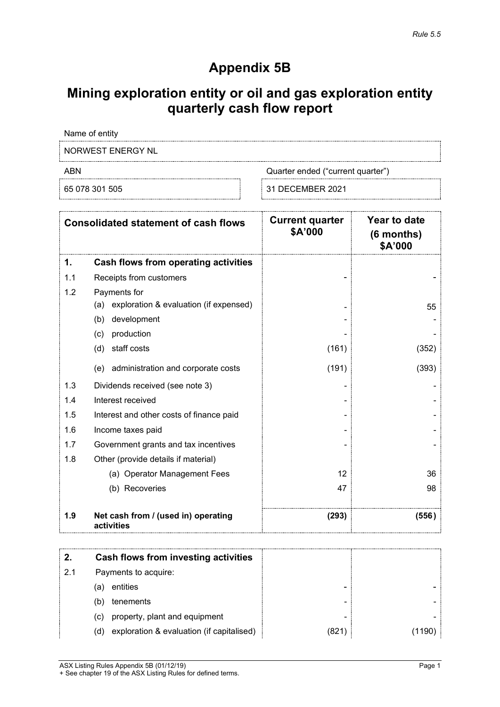# **Appendix 5B**

# **Mining exploration entity or oil and gas exploration entity quarterly cash flow report**

Name of entity

NORWEST ENERGY NL

ABN Cuarter ended ("current quarter")

65 078 301 505 31 DECEMBER 2021

| <b>Consolidated statement of cash flows</b> |                                                   | <b>Current quarter</b><br><b>\$A'000</b> | Year to date<br>$(6$ months)<br>\$A'000 |
|---------------------------------------------|---------------------------------------------------|------------------------------------------|-----------------------------------------|
| 1.                                          | <b>Cash flows from operating activities</b>       |                                          |                                         |
| 1.1                                         | Receipts from customers                           |                                          |                                         |
| 1.2                                         | Payments for                                      |                                          |                                         |
|                                             | exploration & evaluation (if expensed)<br>(a)     |                                          | 55                                      |
|                                             | development<br>(b)                                |                                          |                                         |
|                                             | production<br>(c)                                 |                                          |                                         |
|                                             | (d)<br>staff costs                                | (161)                                    | (352)                                   |
|                                             | administration and corporate costs<br>(e)         | (191)                                    | (393)                                   |
| 1.3                                         | Dividends received (see note 3)                   |                                          |                                         |
| 1.4                                         | Interest received                                 |                                          |                                         |
| 1.5                                         | Interest and other costs of finance paid          |                                          |                                         |
| 1.6                                         | Income taxes paid                                 |                                          |                                         |
| 1.7                                         | Government grants and tax incentives              |                                          |                                         |
| 1.8                                         | Other (provide details if material)               |                                          |                                         |
|                                             | (a) Operator Management Fees                      | 12                                       | 36                                      |
|                                             | (b) Recoveries                                    | 47                                       | 98                                      |
| 1.9                                         | Net cash from / (used in) operating<br>activities | (293)                                    | (556)                                   |

|    | Cash flows from investing activities             |      |  |
|----|--------------------------------------------------|------|--|
| 21 | Payments to acquire:                             |      |  |
|    | entities<br>(a)                                  | -    |  |
|    | tenements<br>(b                                  | -    |  |
|    | property, plant and equipment<br>(c)             | -    |  |
|    | exploration & evaluation (if capitalised)<br>(d) | (821 |  |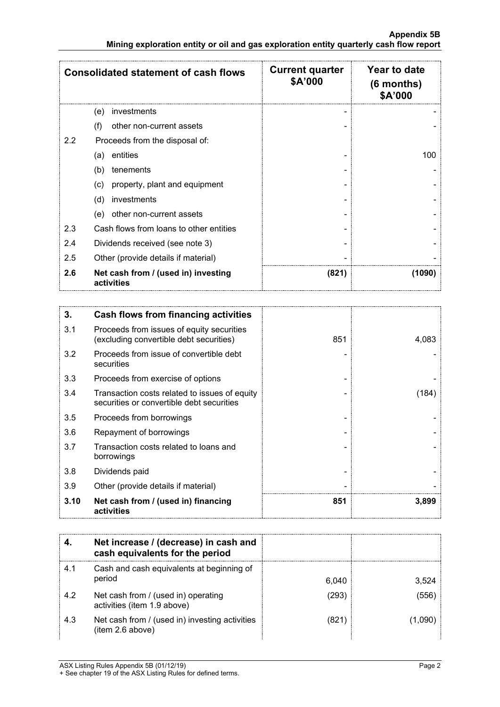| <b>Consolidated statement of cash flows</b> |                                                   | <b>Current quarter</b><br>\$A'000 | Year to date<br>(6 months)<br>\$A'000 |
|---------------------------------------------|---------------------------------------------------|-----------------------------------|---------------------------------------|
|                                             | investments<br>(e)                                |                                   |                                       |
|                                             | other non-current assets<br>(f)                   |                                   |                                       |
| 2.2                                         | Proceeds from the disposal of:                    |                                   |                                       |
|                                             | entities<br>(a)                                   |                                   | 100                                   |
|                                             | (b)<br>tenements                                  |                                   |                                       |
|                                             | property, plant and equipment<br>(c)              |                                   |                                       |
|                                             | investments<br>(d)                                |                                   |                                       |
|                                             | other non-current assets<br>(e)                   |                                   |                                       |
| 2.3                                         | Cash flows from loans to other entities           |                                   |                                       |
| 2.4                                         | Dividends received (see note 3)                   |                                   |                                       |
| 2.5                                         | Other (provide details if material)               |                                   |                                       |
| 2.6                                         | Net cash from / (used in) investing<br>activities | (821)                             | (1090)                                |

| 3.   | Cash flows from financing activities                                                       |     |       |
|------|--------------------------------------------------------------------------------------------|-----|-------|
| 3.1  | Proceeds from issues of equity securities<br>(excluding convertible debt securities)       | 851 | 4,083 |
| 3.2  | Proceeds from issue of convertible debt<br>securities                                      |     |       |
| 3.3  | Proceeds from exercise of options                                                          |     |       |
| 3.4  | Transaction costs related to issues of equity<br>securities or convertible debt securities |     | (184) |
| 3.5  | Proceeds from borrowings                                                                   |     |       |
| 3.6  | Repayment of borrowings                                                                    |     |       |
| 3.7  | Transaction costs related to loans and<br>borrowings                                       |     |       |
| 3.8  | Dividends paid                                                                             |     |       |
| 3.9  | Other (provide details if material)                                                        |     |       |
| 3.10 | Net cash from / (used in) financing<br>activities                                          | 851 | 3,899 |

|     | Net increase / (decrease) in cash and<br>cash equivalents for the period |       |       |
|-----|--------------------------------------------------------------------------|-------|-------|
| 4.1 | Cash and cash equivalents at beginning of<br>period                      | 6,040 | 3,524 |
| 4.2 | Net cash from / (used in) operating<br>activities (item 1.9 above)       | (293  | (556  |
| 4.3 | Net cash from / (used in) investing activities<br>(item 2.6 above)       | 821/  |       |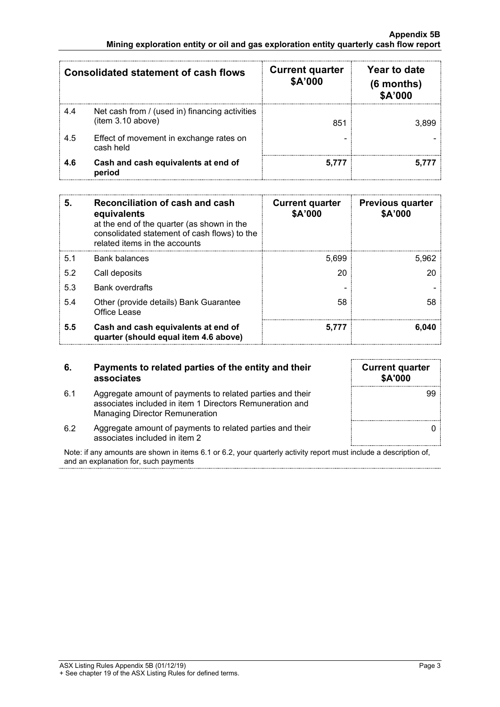|     | Consolidated statement of cash flows                                | <b>Current quarter</b><br>\$A'000 | Year to date<br>$(6$ months)<br>\$A'000 |
|-----|---------------------------------------------------------------------|-----------------------------------|-----------------------------------------|
| 4.4 | Net cash from / (used in) financing activities<br>(item 3.10 above) | 851                               |                                         |
| 4.5 | Effect of movement in exchange rates on<br>cash held                |                                   |                                         |
| 4.6 | Cash and cash equivalents at end of<br>period                       |                                   |                                         |

| 5.  | Reconciliation of cash and cash<br>equivalents<br>at the end of the quarter (as shown in the<br>consolidated statement of cash flows) to the<br>related items in the accounts | <b>Current quarter</b><br>\$A'000 | <b>Previous quarter</b><br>\$A'000 |
|-----|-------------------------------------------------------------------------------------------------------------------------------------------------------------------------------|-----------------------------------|------------------------------------|
| 5.1 | <b>Bank balances</b>                                                                                                                                                          | 5,699                             | 5,962                              |
| 5.2 | Call deposits                                                                                                                                                                 | 20                                | 20                                 |
| 5.3 | <b>Bank overdrafts</b>                                                                                                                                                        |                                   |                                    |
| 5.4 | Other (provide details) Bank Guarantee<br>Office Lease                                                                                                                        | 58                                | 58                                 |
| 5.5 | Cash and cash equivalents at end of<br>quarter (should equal item 4.6 above)                                                                                                  | 5.777                             | 6.040                              |

#### **6. Payments to related parties of the entity and their associates**

| <b>Current quarter</b><br>\$A'000 |
|-----------------------------------|
| 99                                |
|                                   |

- 6.1 Aggregate amount of payments to related parties and their associates included in item 1 Directors Remuneration and Managing Director Remuneration
- 6.2 Aggregate amount of payments to related parties and their associates included in item 2

Note: if any amounts are shown in items 6.1 or 6.2, your quarterly activity report must include a description of, and an explanation for, such payments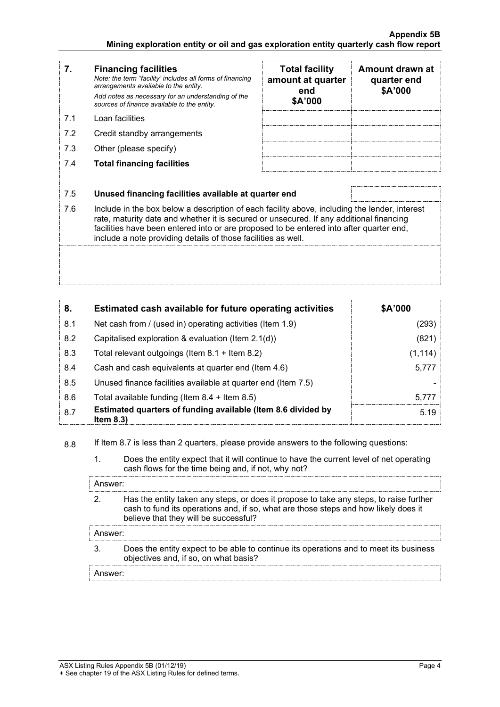### **7. Financing facilities**

*Note: the term "facility' includes all forms of financing arrangements available to the entity. Add notes as necessary for an understanding of the sources of finance available to the entity.*

- 7.1 Loan facilities
- 7.2 Credit standby arrangements
- 7.3 Other (please specify)
- 7.4 **Total financing facilities**

| <b>Total facility</b><br>amount at quarter<br>end<br>\$A'000 | Amount drawn at<br>quarter end<br>\$A'000 |
|--------------------------------------------------------------|-------------------------------------------|
|                                                              |                                           |
|                                                              |                                           |
|                                                              |                                           |
|                                                              |                                           |

#### 7.5 **Unused financing facilities available at quarter end**

7.6 Include in the box below a description of each facility above, including the lender, interest rate, maturity date and whether it is secured or unsecured. If any additional financing facilities have been entered into or are proposed to be entered into after quarter end, include a note providing details of those facilities as well.

| 8.  | Estimated cash available for future operating activities                   | \$A'000 |
|-----|----------------------------------------------------------------------------|---------|
| 8.1 | Net cash from / (used in) operating activities (Item 1.9)                  | '293'   |
| 8.2 | Capitalised exploration & evaluation (Item 2.1(d))                         | (821)   |
| 8.3 | Total relevant outgoings (Item $8.1 +$ Item $8.2$ )                        | (1,114) |
| 8.4 | Cash and cash equivalents at quarter end (Item 4.6)                        | 5.777   |
| 8.5 | Unused finance facilities available at quarter end (Item 7.5)              |         |
| 8.6 | Total available funding (Item $8.4 +$ Item $8.5$ )                         | 5.777   |
| 8.7 | Estimated quarters of funding available (Item 8.6 divided by<br>Item $8.3$ | 5.19    |

8.8 If Item 8.7 is less than 2 quarters, please provide answers to the following questions:

1. Does the entity expect that it will continue to have the current level of net operating cash flows for the time being and, if not, why not?

| Answer:             |                                                                                                                                                                                                                        |
|---------------------|------------------------------------------------------------------------------------------------------------------------------------------------------------------------------------------------------------------------|
|                     | Has the entity taken any steps, or does it propose to take any steps, to raise further<br>cash to fund its operations and, if so, what are those steps and how likely does it<br>believe that they will be successful? |
| Answer:             |                                                                                                                                                                                                                        |
|                     | Does the entity expect to be able to continue its operations and to meet its business<br>objectives and, if so, on what basis?                                                                                         |
| Answer <sup>.</sup> |                                                                                                                                                                                                                        |